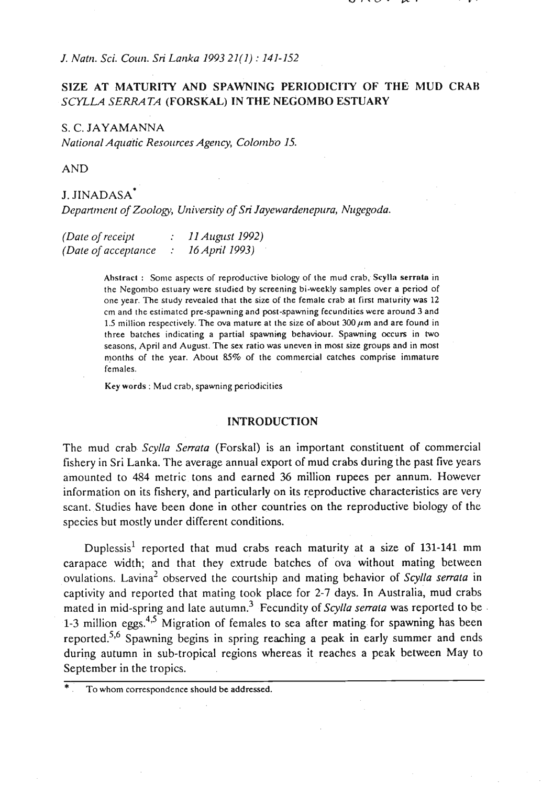*J. Natrl. Sci. Coun. Sri Lartka 1993 21(1)* : *141-152* 

## **SIZE AT MATURITY AND SPAWNING PERIODICITY OF THE MUD CRAB**  *SCYLLA SERRATA* **(FORSKAL) IN** *THE* **NEGOMRO ESTUARY**

S. C. JAYAMANNA *National Aquatic Resources Agency, Colombo 15.* 

AND

# J. JINADASA\*

*Department of Zoology, University of Sri Jayewardenepura, Nugegoda.* 

| (Date of receipt)    | 11 August 1992) |
|----------------------|-----------------|
| (Date of acceptance) | 16 April 1993)  |

Abstract : Some aspects of reproductive biology of the mud crab, Scylla serrata in the Negombo estuary were studied by screening bi-weekly samples over a period of one year. The study revealed that the size of the female crab at first maturity was 12 cm and the estimated pre-spawning and post-spawning fecundities were around 3 and 1.5 million respectively. The ova mature at the size of about  $300 \mu$ m and are found in three batches indicating a partial spawning behaviour. Spawning occurs in two seasons, April and August. The sex ratio was uneven in most size groups and in most months of the year. About  $85\%$  of the commercial catches comprise immature females.

Key words : Mud crab, spawning periodicities

### **INTRODUCTION**

The mud crab *Scylla Serrata* (Forskal) is an important constituent of commercial fishery in Sri Lanka. The average annual export of mud crabs during the past five years amounted to 484 metric tons and earned *36* million rupees per annum. However information on its fishery, and particularly on its reproductive characteristics are very scant. Studies have been done in other countries on the reproductive biology of the species but mostly under different conditions.

Duplessis<sup>1</sup> reported that mud crabs reach maturity at a size of 131-141 mm carapace width; and that they extrude batches of ova without mating between ovulations. Lavina<sup>2</sup> observed the courtship and mating behavior of *Scylla serrata* in captivity and reported that mating took place for **2-7** days. In Australia, mud crabs mated in mid-spring and late autumn.<sup>3</sup> Fecundity of *Scylla serrata* was reported to be 1-3 million eggs.<sup>4,5</sup> Migration of females to sea after mating for spawning has been reported.<sup>5,6</sup> Spawning begins in spring reaching a peak in early summer and ends during autumn in sub-tropical regions whereas it reaches a peak between May to September in the tropics.

To whom correspondence should be addressed.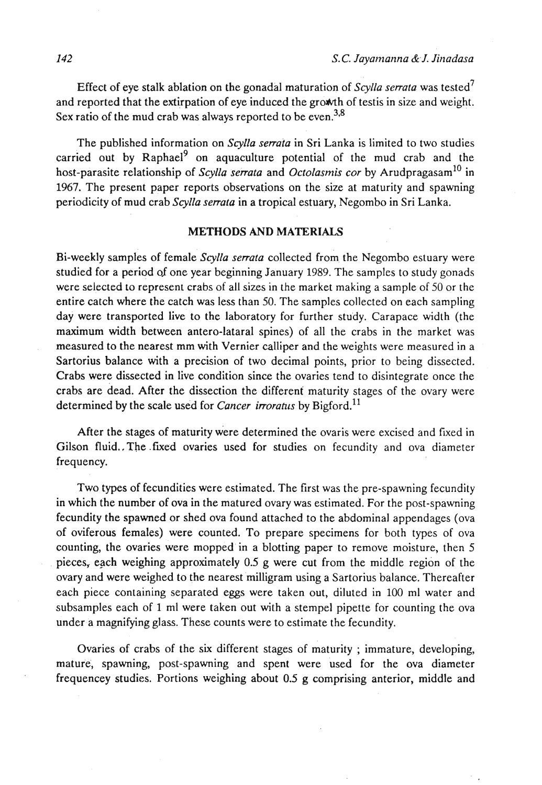Effect of eye stalk ablation on the gonadal maturation of *Scylla serrata* was tested7 and reported that the extirpation of eye induced the **gromh** of testis in size and weight. Sex ratio of the mud crab was always reported to be even.<sup>3,8</sup>

The published information on *Scylla serrata* in Sri Lanka is limited to two studies carried out by  $Raphael<sup>9</sup>$  on aquaculture potential of the mud crab and the host-parasite relationship of *Scylla serrata* and *Octolasmis cor* by Arudpragasam<sup>10</sup> in 1967. The present paper reports observations on the size at maturity and spawning periodicity of mud crab *Scylla serrata* in a tropical estuary, Negombo in Sri Lanka.

### **METHODS AND MATERIALS**

Bi-weekly samples of female *Scylla serrata* collected from the Negombo estuary were studied for a period of one year beginning January 1989. The samples to study gonads were selected to represent crabs of all sizes in the market making a sample of 50 or the entire catch where the catch was less than 50. The samples collected on each sampling day were transported live to the laboratory for further study. Carapace width (the maximum width between antero-lataral spines) of all the crabs in the market was measured to the nearest mm with Vernier calliper and the weights were measured in a Sartorius balance with a precision of two decimal points, prior to being dissected. Crabs were dissected in live condition since the ovaries tend to disintegrate once the crabs are dead. After the dissection the different maturity stages of the ovary were determined by the scale used for *Cancer irroratus* by Bigford.<sup>11</sup>

After the stages of maturity were determined the ovaris were excised and fixed in Gilson fluid.. The fixed ovaries used for studies on fecundity and ova diameter frequency.

Two types of fecundities were estimated. The first was the pre-spawning fecundity in which the number of ova in the matured ovary was estimated. For the post-spawning fecundity the spawned or shed ova found attached to the abdominal appendages (ova of oviferous females) were counted. To prepare specimens for both types of ova counting, the ovaries were mopped in a blotting paper to remove moisture, then 5 pieces, each weighing approximately  $0.5$  g were cut from the middle region of the ovary and were weighed to the nearest milligram using a Sartorius balance. Thereafter each piece containing separated eggs were taken out, diluted in 100 ml water and subsamples each of 1 ml were taken out with a stempel pipette for counting the ova under a magnifying glass. These counts were to estimate the fecundity.

Ovaries of crabs of the six different stages of maturity; immature, developing, mature, spawning, post-spawning and spent were used for the ova diameter frequencey studies. Portions weighing about 0.5 g comprising anterior, middle and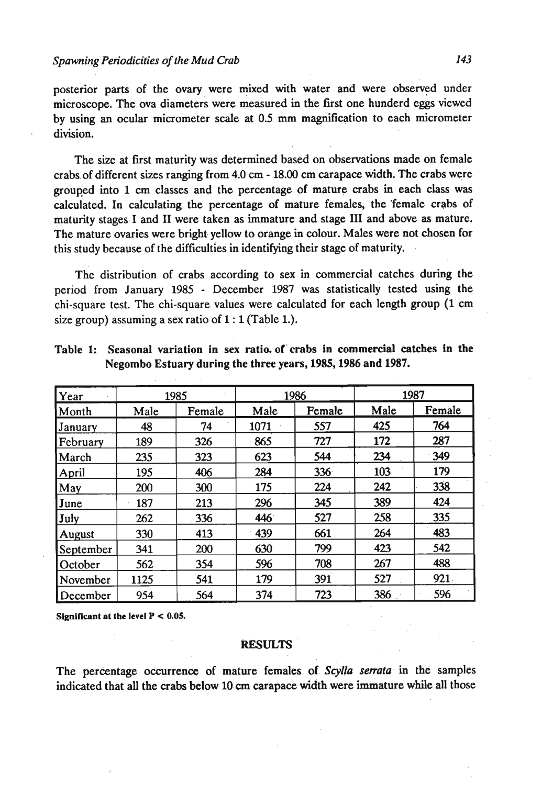posterior parts of the ovary were mixed with water and were observed under microscope. The ova diameters were measured in the first one hunderd eggs viewed by using an ocular micrometer scale at 0.5 mm magnification to each micrometer division.

The size at first maturity was determined based on observations made on female crabs of different sizes ranging from 4.0 cm - **18.00 cm** carapace width. The crabs were grouped into **1** cm classes and the percentage of mature crabs in each class was calculated. In calculating the percentage of mature females, the 'female crabs of maturity stages I and I1 were taken as immature and stage I11 and above as mature. The mature ovaries were bright yellow to orange in colour. Males were not chosen for this study because of the difficulties in identifying their stage of maturity.

The distribution of crabs according to sex in commercial catches during the period from January **1985** - December **1987** was statistically tested using the chi-square test. The chi-square values were calculated for each length group (1 cm size group) assuming a sex ratio of **1** : 1 (Table 1.).

| Year           | 1985 |        | 1986 |        | 1987 |        |
|----------------|------|--------|------|--------|------|--------|
| Month          | Male | Female | Male | Female | Male | Female |
| <b>January</b> | 48   | 74     | 1071 | 557    | 425  | 764    |
| February       | 189  | 326    | 865  | 727    | 172  | 287    |
| March          | 235  | 323    | 623  | 544    | 234  | 349    |
| April          | 195  | 406    | 284  | 336    | 103  | 179    |
| May            | 200  | 300    | 175  | 224    | 242  | 338    |
| June           | 187  | 213    | 296  | 345    | 389  | 424    |
| July           | 262  | 336    | 446  | 527    | 258  | 335    |
| August         | 330  | 413    | 439  | 661    | 264  | 483    |
| September      | 341  | 200    | 630  | 799    | 423  | 542    |
| October        | 562  | 354    | 596  | 708    | 267  | 488    |
| November       | 1125 | 541    | 179  | 391    | 527  | 921    |
| December       | 954  | 564    | 374  | 723    | 386  | 596    |

Table 1: Seasonal variation in sex ratio. of'crabs in commercial catches in the Negombo Estuary during the three years, **1985,1986** and **1987.** 

Significant at the level  $P < 0.05$ .

#### **RESULTS:** . .

The perkntage occurrence of mature females **of..** *Scylla* **serrata** in the samples indicated that all the crabs below 10 cm carapace width were immature while all those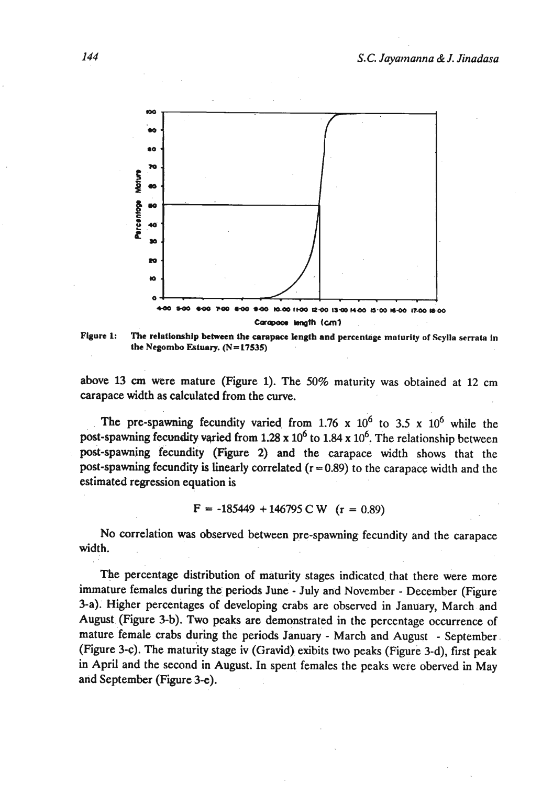

Figure 1: The relationship between the carapace length and percentage maturity of Scylla serrata in **the Negombo Estuary.** (N=17535)

above 13 **cm** were mature (Figure 1). The **50%** maturity was obtained at 12 cm carapace width as calculated from the curve.

The pre-spawning fecundity varied from  $1.76 \times 10^6$  to  $3.5 \times 10^6$  while the post-spawning fecundity varied from 1.28 x 10<sup>6</sup> to 1.84 x 10<sup>6</sup>. The relationship between post-spawning fecundity (Figure 2) and the carapace width shows that the post-spawning fecundity is linearly correlated  $(r = 0.89)$  to the carapace width and the estimated regression equation is

$$
F = -185449 + 146795 \text{ C W} \quad (r = 0.89)
$$

No correlation was observed between pre-spawning fecundity and the carapace width.

The percentage distribution of maturity stages indicated that there were more immature females during the periods June - July and November - December (Figure 3-a). Higher percentages of developing crabs are observed in January, March and August (Figure 3-b). Two peaks are demonstrated in the percentage occurrence of mature female crabs during the periods January - March and August - September (Figure 3-c). The maturity stage iv (Gravid) exibits two peaks (Figure 3-d), first peak in April and the second in August. In spent females the peaks were oberved in May and September (Figure 3-e).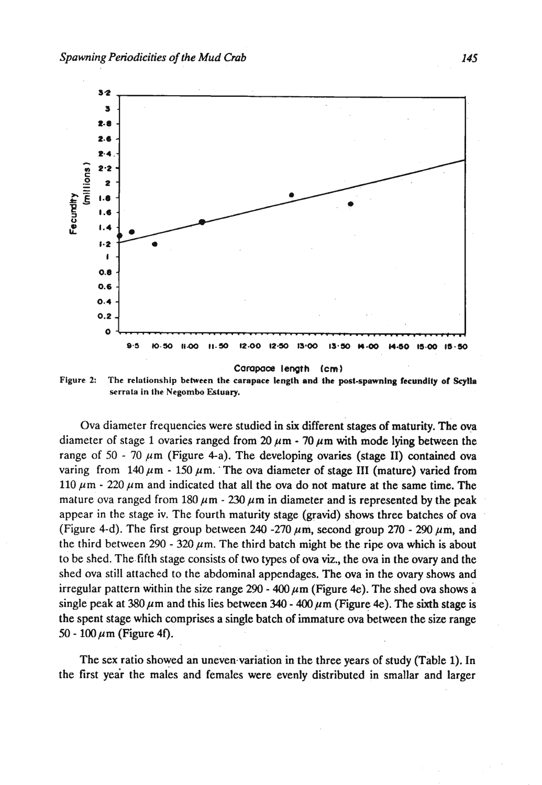

Figure 2: The relationship between the carapace length and the post-spawning fecundity of Scylia **serrala in the Negornbo Ektuary.** 

Ova diameter frequencies were studied in six different stages of maturity. The ova diameter of stage 1 ovaries ranged from  $20 \mu m - 70 \mu m$  with mode lying between the range of  $50 - 70 \mu m$  (Figure 4-a). The developing ovaries (stage II) contained ova varing from  $140 \mu m - 150 \mu m$ . The ova diameter of stage III (mature) varied from 110  $\mu$ m - 220  $\mu$ m and indicated that all the ova do not mature at the same time. The mature ova ranged from  $180 \mu m - 230 \mu m$  in diameter and is represented by the peak appear in the stage iv. The fourth maturity stage (gravid) shows three batches of ova (Figure 4-d). The first group between 240 -270  $\mu$ m, second group 270 - 290  $\mu$ m, and the third between  $290 - 320 \mu m$ . The third batch might be the ripe ova which is about to be shed. The fifth stage consists of two types of ova **viz.,** the ova in the ovary and the shed ova still attached to the abdominal appendages. The ova in the ovary shows and irregular pattern within the size range 290 - 400  $\mu$ m (Figure 4e). The shed ova shows a single peak at  $380 \mu$ m and this lies between  $340 - 400 \mu$ m (Figure 4e). The sixth stage is the spent stage which comprises a single batch of immature ova between the size range  $50 - 100 \,\mu m$  (Figure 4f).

The sex ratio showed an uneven variation in the three years of study (Table 1). In the first year the males and females were evenly distributed in smallar and larger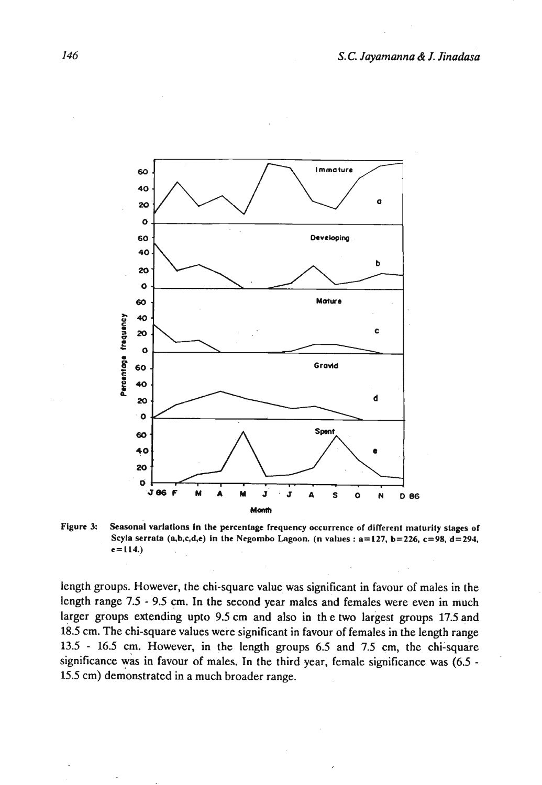

Figure 3: Seasonal variations in the percentage frequency occurrence of different maturity stages of **Scyla serrala (n,b,c,d,e) in the Negombo Lagoon. (n values** : **a=127, b=226, c=98,'d=294,**   $e = 114.$ 

length groups. However, the chi-square value was significant in favour of males in the length range **7.5** - **9.5** cm. In the second year males and females were even in much larger groups extending upto **9.5** cm and also in th e two largest groups **17.5** and 18.5 cm. The chi-square values were significant in favour of females in the length range **13.5** - **16.5** cm. However, in the length groups 6.5 and 7.5 cm, the chi-square significance was in favour of males. In the third year, female significance was **(6.5** - 15.5 cm) demonstrated in a much broader range.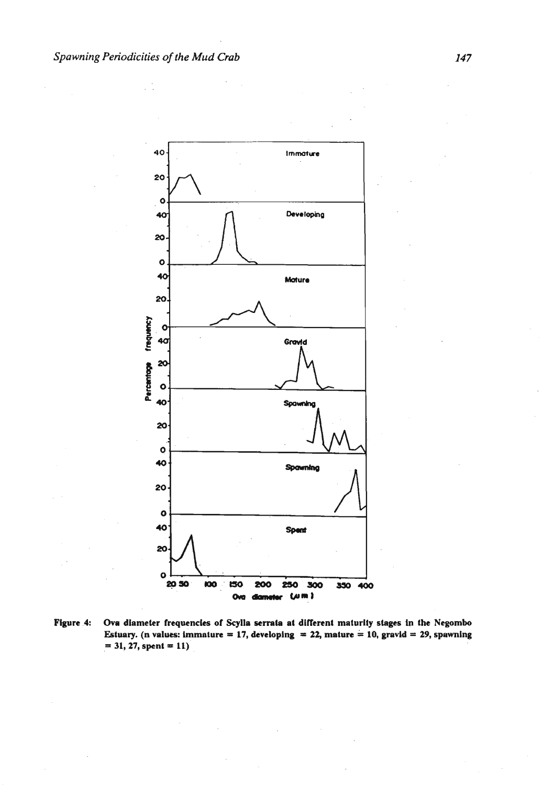

Figure 4: Ova diameter frequencies of Scylla serrata at different maturity stages in the Negombo **Estuary.** (n values: immature = 17, developing = 22, mature = 10, gravid = 29, spawning  $= 31, 27,$  spent  $= 11$ )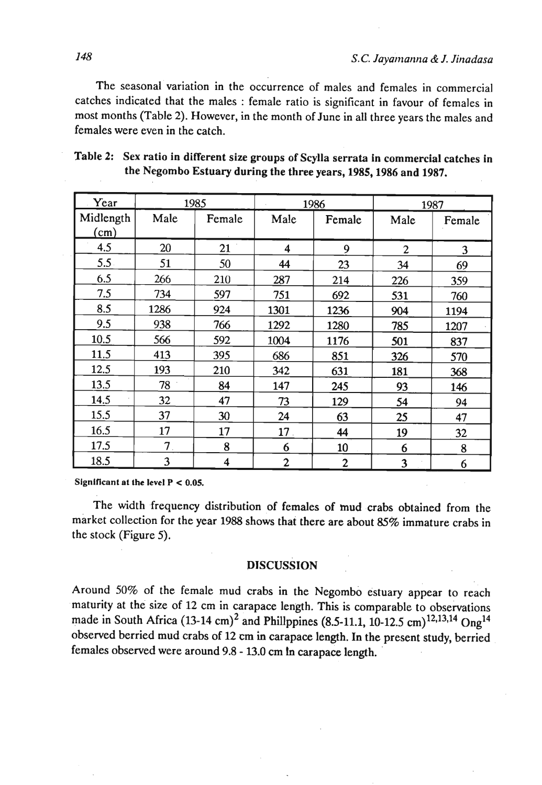The seasonal variation in the occurrence of males and females in commercial catches indicated that the males : female ratio is significant in favour of females in most months (Table 2). However, in the month of June in all three years the males and females were even in the catch.

| Year      |                                 | 1985   | 1986             |              | 1987           |        |
|-----------|---------------------------------|--------|------------------|--------------|----------------|--------|
| Midlength | Male                            | Female | Male             | Female       | Male           | Female |
| (cm)      |                                 |        |                  |              |                |        |
| 4.5       | 20                              | 21     | 4                | 9            | $\overline{2}$ | 3      |
| 5.5       | 51                              | 50     | 44               | 23           | 34             | 69     |
| 6.5       | 266                             | 210    | 287              | 214          | 226            | 359    |
| 7.5       | 734                             | 597    | 751              | 692          | 531            | 760    |
| 8.5       | 1286                            | 924    | 1301             | 1236         | 904            | 1194   |
| 9.5       | 938                             | 766    | 1292             | 1280         | 785            | 1207   |
| 10.5      | 566                             | 592    | 1004             | 1176         | 501            | 837    |
| 11.5      | 413                             | 395    | 686              | 851          | 326            | 570    |
| 12.5      | 193                             | 210    | 342              | 631          | 181            | 368    |
| 13.5      | 78                              | 84     | 147              | 245          | 93             | 146    |
| 14.5      | 32                              | 47     | 73               | 129          | 54             | 94     |
| 15.5      | 37                              | 30     | 24               | 63           | 25             | 47     |
| 16.5      | 17                              | 17     | 17.              | 44           | 19             | 32     |
| 17.5      | $7_{\scriptscriptstyle{\circ}}$ | 8      | 6                | 10           | 6              | 8      |
| 18.5      | 3                               | 4      | $\boldsymbol{2}$ | $\mathbf{2}$ | 3              | 6      |

| Table 2: Sex ratio in different size groups of Scylla serrata in commercial catches in |
|----------------------------------------------------------------------------------------|
| the Negombo Estuary during the three years, 1985, 1986 and 1987.                       |

**Slgnlflcant at the level P** < **0.05.** 

The width frequency distribution of females of mud crabs obtained from the market collection for the year 1988 shows that there are about 85% immature crabs in the stock (Figure 5).

### **DISCUSSION**

Around 50% of the female mud crabs in the Negombo estuary appear to reach maturity at the size of 12 cm in carapace length. This is comparable to observations made in South Africa (13-14 cm)<sup>2</sup> and Phillppines (8.5-11.1, 10-12.5 cm)<sup>12,13,14</sup> Ong<sup>14</sup> observed berried mud crabs of 12 cm in carapace length. In the present study, berried females observed were around 9.8 - 13.0 cm **In** carapace length.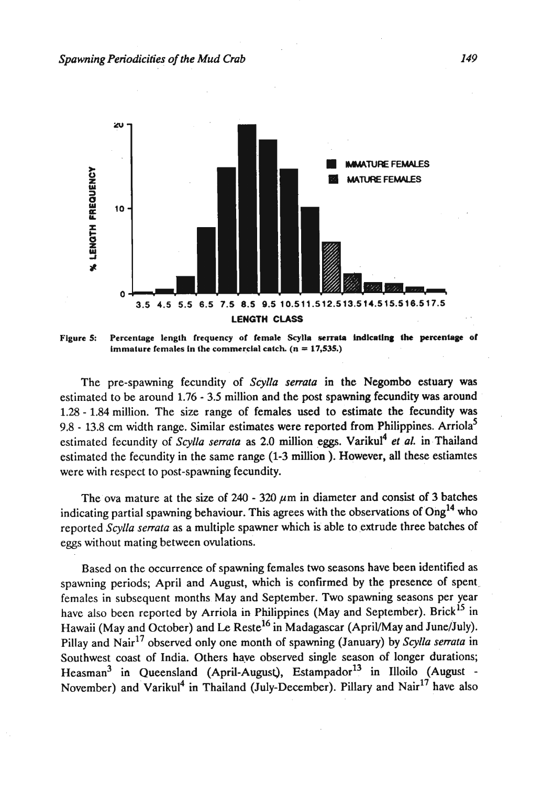

Figure 5: Percentage length frequency of female Scylla serrata indicating the percentage of **immature females in the commercial catch.**  $(n = 17,535.)$ 

The pre-spawning fecundity of *Scylla serrata* in the Negombo estuary **was**  estimated to be around 1.76 - 3.5 million and the post spawning fecundity was around 1.28 - 1.84 million. The size range of females used to estimate the fecundity was  $9.8 - 13.8$  cm width range. Similar estimates were reported from Philippines. Arriola<sup>5</sup> estimated fecundity of *Scylla serrata* as 2.0 million eggs. Varikul<sup>4</sup> et al. in Thailand estimated the fecundity in the same range (1-3 million ). However, all these estiamtes were with respect to post-spawning fecundity.

The ova mature at the size of  $240 - 320 \mu m$  in diameter and consist of 3 batches indicating partial spawning behaviour. This agrees with the observations of  $Ong<sup>14</sup>$  who reported *Scylla serrata* as a multiple spawner which is able to extrude three batches of eggs without mating between ovulations.

Based on the occurrence of spawning females two seasons have been identified as spawning periods; April and August, which is confirmed by the presence of spent. females in subsequent months May and September. Two spawning seasons per year have also been reported by Arriola in Philippines (May and September). Brick<sup>15</sup> in Hawaii (May and October) and Le Reste<sup>16</sup> in Madagascar (April/May and June/July). Pillay and Nair<sup>17</sup> observed only one month of spawning (January) by *Scylla serrata* in Southwest coast of India. Others have observed single season of longer durations; Heasman<sup>3</sup> in Queensland (April-August), Estampador<sup>13</sup> in Illoilo (August -November) and Varikul<sup>4</sup> in Thailand (July-December). Pillary and Nair<sup>17</sup> have also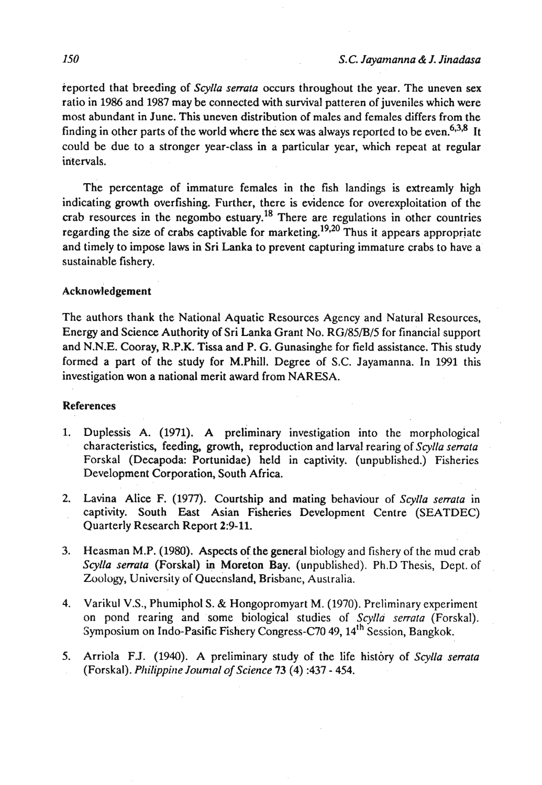reported that breeding of *Scylla serrata* occurs throughout the year. The uneven sex ratio in 1986 and 1987 may be connected with survival patteren of juveniles which were most abundant in June. This uneven distribution of males and females differs from the finding in other parts of the world where the sex was always reported to be even.<sup>6,3,8</sup> It could be due to a stronger year-class in a particular year, which repeat at regular intervals.

The percentage of immature females in the fish landings is extreamly high indicating growth overfishing. Further, there is evidence for overexploitation of the crab resources in the negombo estuary.18 There are regulations in other countries regarding the size of crabs captivable for marketing.<sup>19,20</sup> Thus it appears appropriate and timely to impose laws in Sri Lanka to prevent capturing immature crabs to have a sustainable fishery.

### Acknowledgement

The authors thank the National Aquatic Resources Agency and Natural Resources, Energy and Science Authority of Sri Lanka Grant No. RG/85/B/5 for financial support and N.N.E. Cooray, R.P.K. Tissa and P. G. Gunasinghe for field assistance. This study formed a part of the study for M.Phill. Degree of S.C. Jayamanna. In 1991 this investigation won a national merit award from NARESA.

#### References

- 1. Duplessis A. (1971). A preliminary investigation into the morphological characteristics, feeding, growth, reproduction and larval rearing of *Scylla serrata*  Forskal (Decapoda: Portunidae) held in captivity. (unpublished.) Fisheries Development Corporation, South Africa.
- **2.** Lavina Alice F. (1977). Courtship and mating behaviour of *Scylla serrala* in captivity. South East Asian Fisheries Development Centre (SEATDEC) Quarterly Research Report 2:9-11.
- 3. Heasman M.P. (1980). Aspects of the general biology and fishery of the mud crab *Scylla serrata* (Forskal) in Moreton Bay. (unpublished). Ph.D Thesis, Dept. of Zoology, University of Quecnsland, Brisbane, Australia.
- 4. Varikul V.S., Phumiphol S. & Hongopromyart M. (1970). Preliminary experiment on pond rearing and some biological studies of *ScyIIa serrata* (Forskal). Symposium on Indo-Pasific Fishery Congress-C70 49, 14<sup>th</sup> Session, Bangkok.
- **5.** Arriola F.J. (1940). A preliminary study of the life history of *Scylla serrata*  (Forskal). *Philippine Journal of Science* 73 (4) :437 - 454.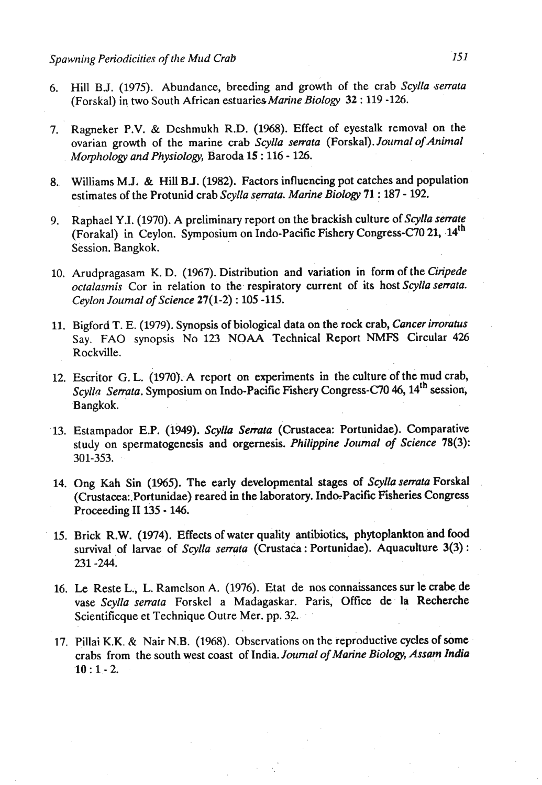- **6.** Hill B.J. (1975). Abundance, breeding and growth of the crab Scylla serrata (Forskal) in two South African estuaries Marine Biology 32: 119 - 126.
- 7. Ragneker P.V. & Deshmukh R.D. (1968). Effect of eyestalk removal on the ovarian growth of the marine crab Scylla serrata (Forskal). Journal of Animal Morphology and Physiology, Baroda 15 : 116 - 126.
- 8. Williams M.J. & Hill B.J. (1982). Factors influencing pot catches and population estimates of the Protunid crab Scylla serrata. Marine Biology 71 : 187 - 192.
- 9. Raphael Y.I. (1970). A preliminary report on the brackish culture of Scylla serrate (Forakal) in Ceylon. Symposium on Indo-Pacific Fishery Congress-C70 21, 14<sup>th</sup> Session. Bangkok.
- 10. Arudpragasam K. D. (1967). Distribution and variation in form of the Ciripede octalasmis Cor in relation to the respiratory current of its host Scylla serrata. Ceylon Journal of Science 27(1-2) : 105 -115.
- 11. Bigford T. E. (1979). Synopsis of biological data on the rock crab, Cancer irroratus Say. FA0 synopsis No 123 NOAA Technical Report **NMFS** Circular 426 Rockville.
- 12. Escritor G. L. (1970). A report on experiments in the culture of the mud crab, Scylla Serrata. Symposium on Indo-Pacific Fishery Congress-C70 46, 14<sup>th</sup> session, Bangkok.
- 13. Estampador E.P. (1949). Scylla Serrata (Crustacea: Portunidae). Comparative study on spermatogenesis and orgernesis. Philippine Journal of Science 78(3): 301-353.
- 14. Ong Kah Sin (1965). The early developmental stages of Scylla serrata Forskal (Crustacea: Portunidae) reared in the laboratory. Indo-Pacific Fisheries Congress Proceeding I1 135 - 146.
- 15. Brick R.W. (1974). Effects of water quality antibiotics, phytoplankton and food survival of larvae of Scylla serrata (Crustaca : Portunidae). Aquaculture 3(3) : 231 -244.
- 16. **Le** Reste L., L. Ramelson **A.** (1976). Etat de nos connaissances sur **le** crabe de vase Scylla senata Forskel a Madagaskar. Paris, Office de la Recherche Scientificque et Technique Outre Mer. pp. 32.
- 17. Pillai K.K. & Nair N.B. (1968). Observations on the reproductive cycles of some crabs from the south west coast of India. Journal of Marine Biology, Assam India  $10:1 - 2.$